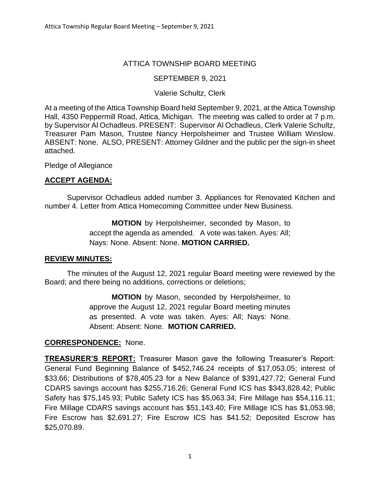# ATTICA TOWNSHIP BOARD MEETING

# SEPTEMBER 9, 2021

## Valerie Schultz, Clerk

At a meeting of the Attica Township Board held September 9, 2021, at the Attica Township Hall, 4350 Peppermill Road, Attica, Michigan. The meeting was called to order at 7 p.m. by Supervisor Al Ochadleus. PRESENT: Supervisor Al Ochadleus, Clerk Valerie Schultz, Treasurer Pam Mason, Trustee Nancy Herpolsheimer and Trustee William Winslow. ABSENT: None. ALSO, PRESENT: Attorney Gildner and the public per the sign-in sheet attached.

Pledge of Allegiance

# **ACCEPT AGENDA:**

Supervisor Ochadleus added number 3. Appliances for Renovated Kitchen and number 4. Letter from Attica Homecoming Committee under New Business.

> **MOTION** by Herpolsheimer, seconded by Mason, to accept the agenda as amended. A vote was taken. Ayes: All; Nays: None. Absent: None. **MOTION CARRIED.**

## **REVIEW MINUTES:**

The minutes of the August 12, 2021 regular Board meeting were reviewed by the Board; and there being no additions, corrections or deletions;

> **MOTION** by Mason, seconded by Herpolsheimer, to approve the August 12, 2021 regular Board meeting minutes as presented. A vote was taken. Ayes: All; Nays: None. Absent: Absent: None. **MOTION CARRIED.**

## **CORRESPONDENCE:** None.

**TREASURER'S REPORT:** Treasurer Mason gave the following Treasurer's Report: General Fund Beginning Balance of \$452,746.24 receipts of \$17,053.05; interest of \$33.66; Distributions of \$78,405.23 for a New Balance of \$391,427.72; General Fund CDARS savings account has \$255,716.26; General Fund ICS has \$343,828.42; Public Safety has \$75,145.93; Public Safety ICS has \$5,063.34; Fire Millage has \$54,116.11; Fire Millage CDARS savings account has \$51,143.40; Fire Millage ICS has \$1,053.98; Fire Escrow has \$2,691.27; Fire Escrow ICS has \$41.52; Deposited Escrow has \$25,070.89.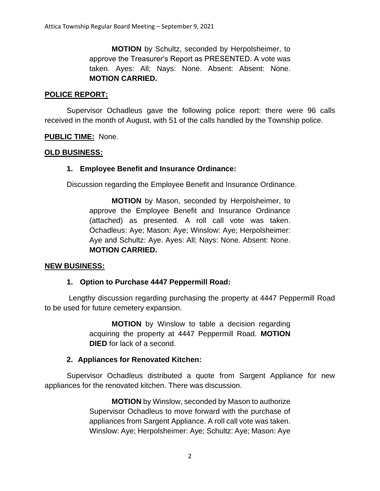**MOTION** by Schultz, seconded by Herpolsheimer, to approve the Treasurer's Report as PRESENTED. A vote was taken. Ayes: All; Nays: None. Absent: Absent: None. **MOTION CARRIED.**

## **POLICE REPORT:**

Supervisor Ochadleus gave the following police report: there were 96 calls received in the month of August, with 51 of the calls handled by the Township police.

#### **PUBLIC TIME:** None.

#### **OLD BUSINESS:**

#### **1. Employee Benefit and Insurance Ordinance:**

Discussion regarding the Employee Benefit and Insurance Ordinance.

**MOTION** by Mason, seconded by Herpolsheimer, to approve the Employee Benefit and Insurance Ordinance (attached) as presented. A roll call vote was taken. Ochadleus: Aye; Mason: Aye; Winslow: Aye; Herpolsheimer: Aye and Schultz: Aye. Ayes: All; Nays: None. Absent: None. **MOTION CARRIED.**

#### **NEW BUSINESS:**

## **1. Option to Purchase 4447 Peppermill Road:**

Lengthy discussion regarding purchasing the property at 4447 Peppermill Road to be used for future cemetery expansion.

> **MOTION** by Winslow to table a decision regarding acquiring the property at 4447 Peppermill Road. **MOTION DIED** for lack of a second.

## **2. Appliances for Renovated Kitchen:**

Supervisor Ochadleus distributed a quote from Sargent Appliance for new appliances for the renovated kitchen. There was discussion.

> **MOTION** by Winslow, seconded by Mason to authorize Supervisor Ochadleus to move forward with the purchase of appliances from Sargent Appliance. A roll call vote was taken. Winslow: Aye; Herpolsheimer: Aye; Schultz: Aye; Mason: Aye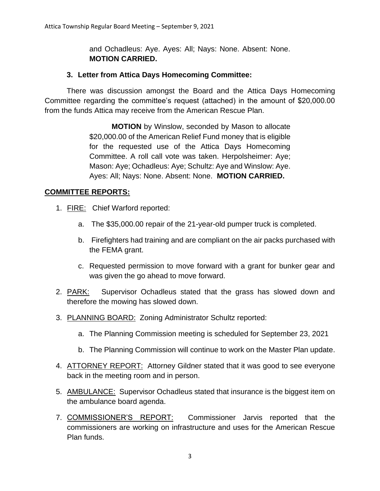and Ochadleus: Aye. Ayes: All; Nays: None. Absent: None. **MOTION CARRIED.**

## **3. Letter from Attica Days Homecoming Committee:**

There was discussion amongst the Board and the Attica Days Homecoming Committee regarding the committee's request (attached) in the amount of \$20,000.00 from the funds Attica may receive from the American Rescue Plan.

> **MOTION** by Winslow, seconded by Mason to allocate \$20,000.00 of the American Relief Fund money that is eligible for the requested use of the Attica Days Homecoming Committee. A roll call vote was taken. Herpolsheimer: Aye; Mason: Aye; Ochadleus: Aye; Schultz: Aye and Winslow: Aye. Ayes: All; Nays: None. Absent: None. **MOTION CARRIED.**

## **COMMITTEE REPORTS:**

- 1. FIRE: Chief Warford reported:
	- a. The \$35,000.00 repair of the 21-year-old pumper truck is completed.
	- b. Firefighters had training and are compliant on the air packs purchased with the FEMA grant.
	- c. Requested permission to move forward with a grant for bunker gear and was given the go ahead to move forward.
- 2. PARK: Supervisor Ochadleus stated that the grass has slowed down and therefore the mowing has slowed down.
- 3. PLANNING BOARD: Zoning Administrator Schultz reported:
	- a. The Planning Commission meeting is scheduled for September 23, 2021
	- b. The Planning Commission will continue to work on the Master Plan update.
- 4. ATTORNEY REPORT: Attorney Gildner stated that it was good to see everyone back in the meeting room and in person.
- 5. AMBULANCE: Supervisor Ochadleus stated that insurance is the biggest item on the ambulance board agenda.
- 7. COMMISSIONER'S REPORT: Commissioner Jarvis reported that the commissioners are working on infrastructure and uses for the American Rescue Plan funds.